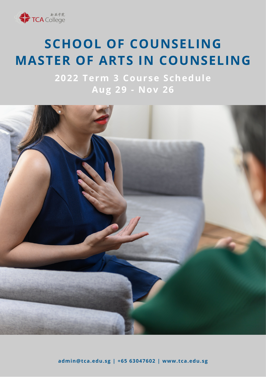

# **SCHOOL OF COUNSELING MASTER OF ARTS IN COUNSELING**

**2022 Term 3 Course Schedule Aug 29 - Nov 26**

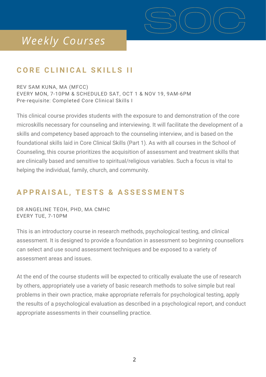

### *Weekly Courses*

### **C O R E C L I N I C A L S K I L L S I I**

REV SAM KUNA, MA (MFCC) EVERY MON, 7-10PM & SCHEDULED SAT, OCT 1 & NOV 19, 9AM-6PM Pre-requisite: Completed Core Clinical Skills I

This clinical course provides students with the exposure to and demonstration of the core microskills necessary for counseling and interviewing. It will facilitate the development of a skills and competency based approach to the counseling interview, and is based on the foundational skills laid in Core Clinical Skills (Part 1). As with all courses in the School of Counseling, this course prioritizes the acquisition of assessment and treatment skills that are clinically based and sensitive to spiritual/religious variables. Such a focus is vital to helping the individual, family, church, and community.

### APPRAISAL, TESTS & ASSESSMENTS

DR ANGELINE TEOH, PHD, MA CMHC EVERY TUE, 7-10PM

This is an introductory course in research methods, psychological testing, and clinical assessment. It is designed to provide a foundation in assessment so beginning counsellors can select and use sound assessment techniques and be exposed to a variety of assessment areas and issues.

At the end of the course students will be expected to critically evaluate the use of research by others, appropriately use a variety of basic research methods to solve simple but real problems in their own practice, make appropriate referrals for psychological testing, apply the results of a psychological evaluation as described in a psychological report, and conduct appropriate assessments in their counselling practice.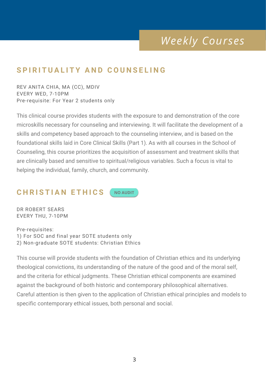### *Weekly Courses*

### **S P I R I T U A L I T Y A N D C O U N S E L I N G**

REV ANITA CHIA, MA (CC), MDIV EVERY WED, 7-10PM Pre-requisite: For Year 2 students only

This clinical course provides students with the exposure to and demonstration of the core microskills necessary for counseling and interviewing. It will facilitate the development of a skills and competency based approach to the counseling interview, and is based on the foundational skills laid in Core Clinical Skills (Part 1). As with all courses in the School of Counseling, this course prioritizes the acquisition of assessment and treatment skills that are clinically based and sensitive to spiritual/religious variables. Such a focus is vital to helping the individual, family, church, and community.

#### $CHRISTIAN ETHICS$ **NO AUDIT**

DR ROBERT SEARS EVERY THU, 7-10PM

Pre-requisites: 1) For SOC and final year SOTE students only 2) Non-graduate SOTE students: Christian Ethics

This course will provide students with the foundation of Christian ethics and its underlying theological convictions, its understanding of the nature of the good and of the moral self, and the criteria for ethical judgments. These Christian ethical components are examined against the background of both historic and contemporary philosophical alternatives. Careful attention is then given to the application of Christian ethical principles and models to specific contemporary ethical issues, both personal and social.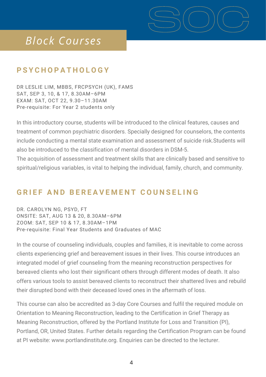

# *Block Courses*

### **P S Y C H O P A T H O L O G Y**

DR LESLIE LIM, MBBS, FRCPSYCH (UK), FAMS SAT, SEP 3, 10, & 17, 8.30AM–6PM EXAM: SAT, OCT 22, 9.30–11.30AM Pre-requisite: For Year 2 students only

In this introductory course, students will be introduced to the clinical features, causes and treatment of common psychiatric disorders. Specially designed for counselors, the contents include conducting a mental state examination and assessment of suicide risk.Students will also be introduced to the classification of mental disorders in DSM-5.

The acquisition of assessment and treatment skills that are clinically based and sensitive to spiritual/religious variables, is vital to helping the individual, family, church, and community.

#### **GRIEF AND BEREAVEMENT COUNSELING**

DR. CAROLYN NG, PSYD, FT ONSITE: SAT, AUG 13 & 20, 8.30AM–6PM ZOOM: SAT, SEP 10 & 17, 8.30AM–1PM Pre-requisite: Final Year Students and Graduates of MAC

In the course of counseling individuals, couples and families, it is inevitable to come across clients experiencing grief and bereavement issues in their lives. This course introduces an integrated model of grief counseling from the meaning reconstruction perspectives for bereaved clients who lost their significant others through different modes of death. It also offers various tools to assist bereaved clients to reconstruct their shattered lives and rebuild their disrupted bond with their deceased loved ones in the aftermath of loss.

This course can also be accredited as 3-day Core Courses and fulfil the required module on Orientation to Meaning Reconstruction, leading to the Certification in Grief Therapy as Meaning Reconstruction, offered by the Portland Institute for Loss and Transition (PI), Portland, OR, United States. Further details regarding the Certification Program can be found at PI website: [www.portlandinstitute.org.](http://www.portlandinstitute.org/) Enquiries can be directed to the lecturer.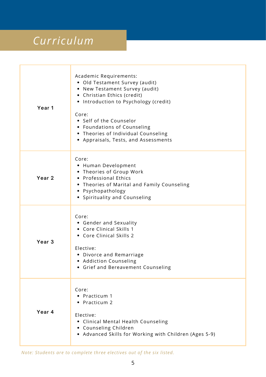# *Curriculum*

| Year 1            | Academic Requirements:<br>• Old Testament Survey (audit)<br>• New Testament Survey (audit)<br>• Christian Ethics (credit)<br>• Introduction to Psychology (credit)<br>Core:<br>• Self of the Counselor<br>• Foundations of Counseling<br>• Theories of Individual Counseling<br>• Appraisals, Tests, and Assessments |
|-------------------|----------------------------------------------------------------------------------------------------------------------------------------------------------------------------------------------------------------------------------------------------------------------------------------------------------------------|
| Year <sub>2</sub> | Core:<br>• Human Development<br>• Theories of Group Work<br>• Professional Ethics<br>• Theories of Marital and Family Counseling<br>• Psychopathology<br>• Spirituality and Counseling                                                                                                                               |
| Year <sub>3</sub> | Core:<br>• Gender and Sexuality<br>• Core Clinical Skills 1<br>• Core Clinical Skills 2<br>Elective:<br>• Divorce and Remarriage<br>• Addiction Counseling<br>Grief and Bereavement Counseling                                                                                                                       |
| Year 4            | Core:<br>• Practicum 1<br>• Practicum 2<br>Elective:<br>• Clinical Mental Health Counseling<br>• Counseling Children<br>• Advanced Skills for Working with Children (Ages 5-9)                                                                                                                                       |

*Note: Students are to complete three electives out of the six listed.*